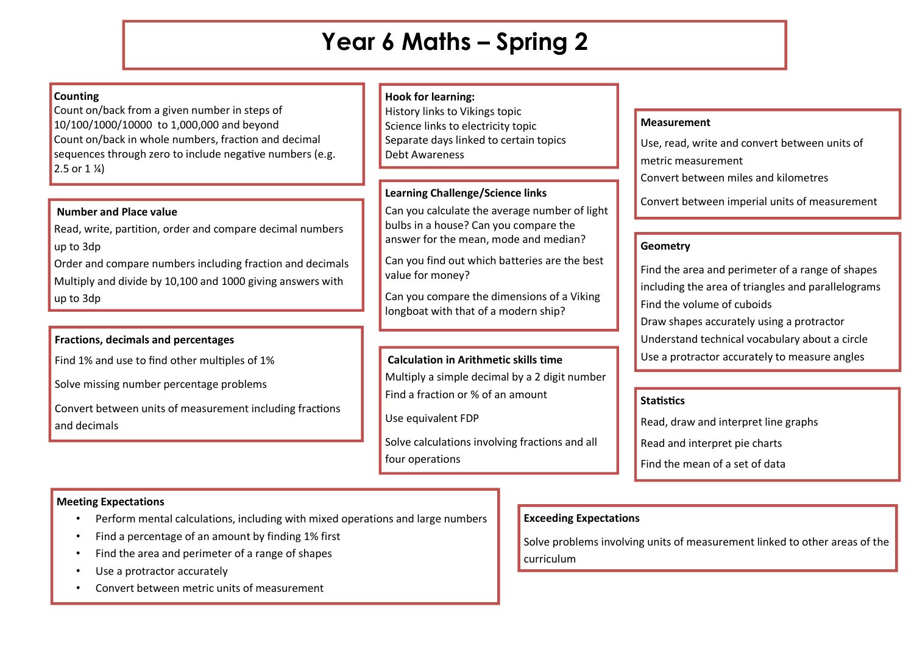# **Year 6 Maths – Spring 2**

## **Counting**

Count on/back from a given number in steps of 10/100/1000/10000 to 1,000,000 and beyond Count on/back in whole numbers, fraction and decimal sequences through zero to include negative numbers (e.g. 2.5 or  $1\frac{1}{4}$ 

### **Number and Place value**

Read, write, partition, order and compare decimal numbers up to 3dp

Order and compare numbers including fraction and decimals Multiply and divide by 10,100 and 1000 giving answers with up to 3dp

# **Fractions, decimals and percentages**

Find 1% and use to find other multiples of 1%

Solve missing number percentage problems

Convert between units of measurement including fractions and decimals

## **Hook for learning:**

History links to Vikings topic Science links to electricity topic Separate days linked to certain topics Debt Awareness

# **Learning Challenge/Science links**

Can you calculate the average number of light bulbs in a house? Can you compare the answer for the mean, mode and median?

Can you find out which batteries are the best value for money?

Can you compare the dimensions of a Viking longboat with that of a modern ship?

\*Can you make a round Viking shield and

#### segment the circle accurately to a given the circle accurately to a given  $\mathcal{E}$ **Calculation in Arithmetic skills time**

Multiply a simple decimal by a 2 digit number Find a fraction or % of an amount

Use equivalent FDP

Solve calculations involving fractions and all four operations

#### **Measurement**

Use, read, write and convert between units of

metric measurement

Convert between miles and kilometres

Convert between imperial units of measurement

## **Geometry**

Find the area and perimeter of a range of shapes including the area of triangles and parallelograms Find the volume of cuboids Draw shapes accurately using a protractor Understand technical vocabulary about a circle Use a protractor accurately to measure angles

## **Statistics**

Read, draw and interpret line graphs Read and interpret pie charts Find the mean of a set of data

# **Exceeding Expectations**

Solve problems involving units of measurement linked to other areas of the curriculum

## **Meeting Expectations**

- Perform mental calculations, including with mixed operations and large numbers
- Find a percentage of an amount by finding 1% first
- Find the area and perimeter of a range of shapes
- Use a protractor accurately
- Convert between metric units of measurement